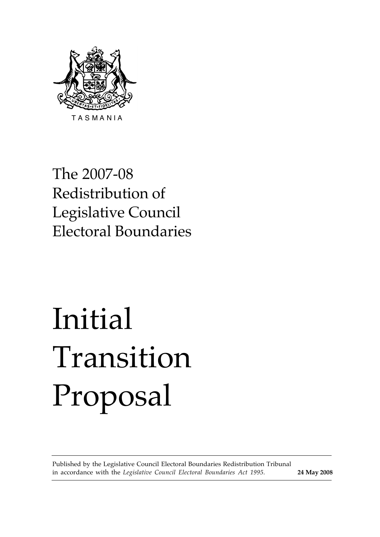

The 2007-08 Redistribution of Legislative Council Electoral Boundaries

# Initial Transition Proposal

Published by the Legislative Council Electoral Boundaries Redistribution Tribunal in accordance with the *Legislative Council Electoral Boundaries Act 1995.* **24 May 2008**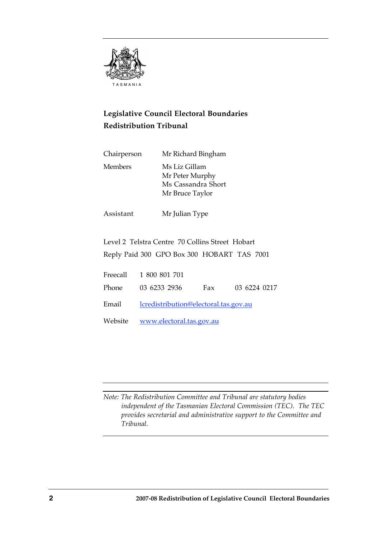

# **Legislative Council Electoral Boundaries Redistribution Tribunal**

| Chairperson    | Mr Richard Bingham                                                        |
|----------------|---------------------------------------------------------------------------|
| <b>Members</b> | Ms Liz Gillam<br>Mr Peter Murphy<br>Ms Cassandra Short<br>Mr Bruce Taylor |

Assistant Mr Julian Type

Level 2 Telstra Centre 70 Collins Street Hobart Reply Paid 300 GPO Box 300 HOBART TAS 7001

| Freecall 1 800 801 701                             |                  |
|----------------------------------------------------|------------------|
| Phone 03 6233 2936                                 | Fax 03 6224 0217 |
| Email <u>lcredistribution@electoral.tas.gov.au</u> |                  |
| Website <u>www.electoral.tas.gov.au</u>            |                  |

*Note: The Redistribution Committee and Tribunal are statutory bodies independent of the Tasmanian Electoral Commission (TEC). The TEC provides secretarial and administrative support to the Committee and Tribunal.*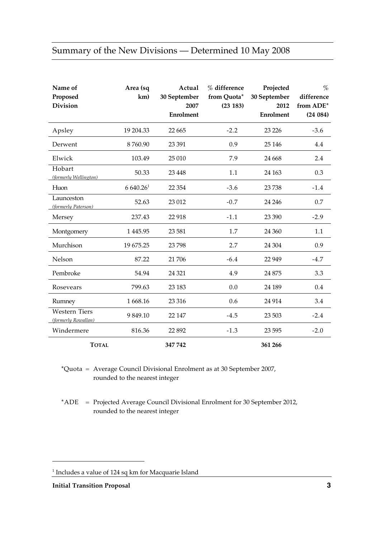# Summary of the New Divisions — Determined 10 May 2008

| Name of<br>Proposed<br><b>Division</b>      | Area (sq<br>km)      | Actual<br>30 September<br>2007<br>Enrolment | % difference<br>from Quota*<br>(23 183) | Projected<br>30 September<br>2012<br><b>Enrolment</b> | %<br>difference<br>from ADE*<br>(24084) |
|---------------------------------------------|----------------------|---------------------------------------------|-----------------------------------------|-------------------------------------------------------|-----------------------------------------|
| Apsley                                      | 19 204.33            | 22 6 65                                     | $-2.2$                                  | 23 2 26                                               | $-3.6$                                  |
| Derwent                                     | 8760.90              | 23 391                                      | 0.9                                     | 25 14 6                                               | 4.4                                     |
| Elwick                                      | 103.49               | 25 010                                      | 7.9                                     | 24 6 68                                               | 2.4                                     |
| Hobart<br>(formerly Wellington)             | 50.33                | 23 4 48                                     | 1.1                                     | 24 163                                                | 0.3                                     |
| Huon                                        | 6640.26 <sup>1</sup> | 22 3 54                                     | $-3.6$                                  | 23738                                                 | $-1.4$                                  |
| Launceston<br>(formerly Paterson)           | 52.63                | 23 012                                      | $-0.7$                                  | 24 24 6                                               | 0.7                                     |
| Mersey                                      | 237.43               | 22 918                                      | $-1.1$                                  | 23 390                                                | $-2.9$                                  |
| Montgomery                                  | 1 4 4 5 . 9 5        | 23 5 81                                     | 1.7                                     | 24 360                                                | 1.1                                     |
| Murchison                                   | 19 675.25            | 23 798                                      | 2.7                                     | 24 304                                                | 0.9                                     |
| Nelson                                      | 87.22                | 21 70 6                                     | $-6.4$                                  | 22 9 49                                               | $-4.7$                                  |
| Pembroke                                    | 54.94                | 24 3 21                                     | 4.9                                     | 24 875                                                | 3.3                                     |
| Rosevears                                   | 799.63               | 23 183                                      | 0.0                                     | 24 189                                                | 0.4                                     |
| Rumney                                      | 1668.16              | 23 3 16                                     | 0.6                                     | 24 9 14                                               | 3.4                                     |
| <b>Western Tiers</b><br>(formerly Rowallan) | 9849.10              | 22 147                                      | $-4.5$                                  | 23 503                                                | $-2.4$                                  |
| Windermere                                  | 816.36               | 22 892                                      | $-1.3$                                  | 23 5 95                                               | $-2.0$                                  |
| <b>TOTAL</b>                                |                      | 347742                                      |                                         | 361 266                                               |                                         |

\*Quota = Average Council Divisional Enrolment as at 30 September 2007, rounded to the nearest integer

\*ADE = Projected Average Council Divisional Enrolment for 30 September 2012, rounded to the nearest integer

 $\overline{a}$ 

<sup>&</sup>lt;sup>1</sup> Includes a value of 124 sq km for Macquarie Island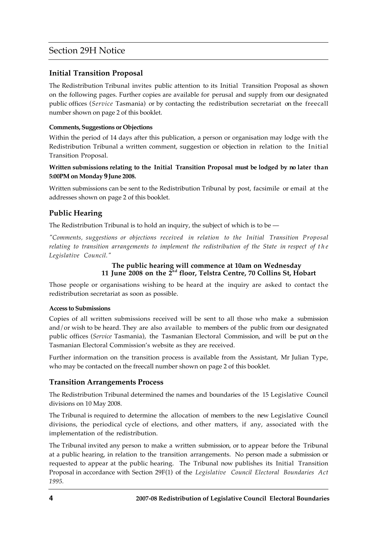# Section 29H Notice

# **Initial Transition Proposal**

The Redistribution Tribunal invites public attention to its Initial Transition Proposal as shown on the following pages. Further copies are available for perusal and supply from our designated public offices (*Service* Tasmania) or by contacting the redistribution secretariat on the freecall number shown on page 2 of this booklet.

### **Comments, Suggestions or Objections**

Within the period of 14 days after this publication, a person or organisation may lodge with the Redistribution Tribunal a written comment, suggestion or objection in relation to the Initial Transition Proposal.

### **Written submissions relating to the Initial Transition Proposal must be lodged by no later than 5:00PM on Monday 9 June 2008.**

Written submissions can be sent to the Redistribution Tribunal by post, facsimile or email at the addresses shown on page 2 of this booklet.

# **Public Hearing**

The Redistribution Tribunal is to hold an inquiry, the subject of which is to be —

*"Comments, suggestions or objections received in relation to the Initial Transition Proposal relating to transition arrangements to implement the redistribution of the State in respect of the Legislative Council."*

### **The public hearing will commence at 10am on Wednesday 11 June 2008 on the 2nd floor, Telstra Centre, 70 Collins St, Hobart**

Those people or organisations wishing to be heard at the inquiry are asked to contact the redistribution secretariat as soon as possible.

### **Access to Submissions**

Copies of all written submissions received will be sent to all those who make a submission and/or wish to be heard. They are also available to members of the public from our designated public offices (*Service* Tasmania), the Tasmanian Electoral Commission, and will be put on the Tasmanian Electoral Commission's website as they are received.

Further information on the transition process is available from the Assistant, Mr Julian Type, who may be contacted on the freecall number shown on page 2 of this booklet.

# **Transition Arrangements Process**

The Redistribution Tribunal determined the names and boundaries of the 15 Legislative Council divisions on 10 May 2008.

The Tribunal is required to determine the allocation of members to the new Legislative Council divisions, the periodical cycle of elections, and other matters, if any, associated with the implementation of the redistribution.

The Tribunal invited any person to make a written submission, or to appear before the Tribunal at a public hearing, in relation to the transition arrangements. No person made a submission or requested to appear at the public hearing. The Tribunal now publishes its Initial Transition Proposal in accordance with Section 29F(1) of the *Legislative Council Electoral Boundaries Act 1995.*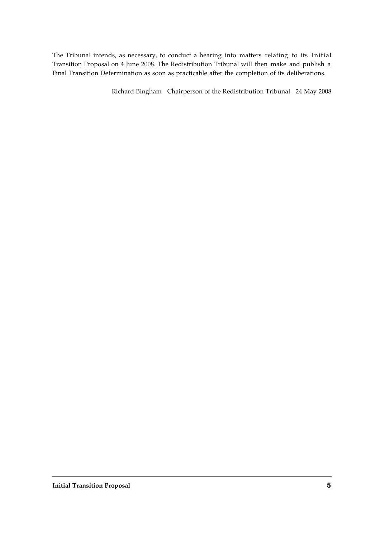The Tribunal intends, as necessary, to conduct a hearing into matters relating to its Initial Transition Proposal on 4 June 2008. The Redistribution Tribunal will then make and publish a Final Transition Determination as soon as practicable after the completion of its deliberations.

Richard Bingham Chairperson of the Redistribution Tribunal 24 May 2008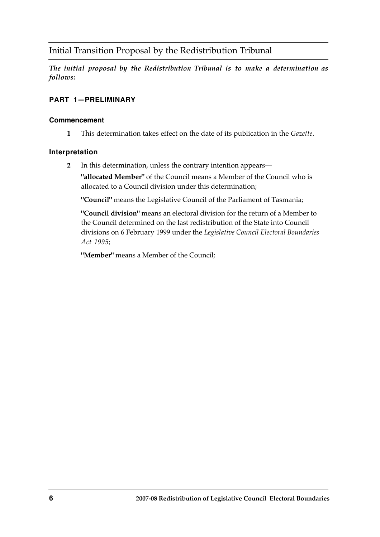# Initial Transition Proposal by the Redistribution Tribunal

*The initial proposal by the Redistribution Tribunal is to make a determination as follows:*

# **PART 1—PRELIMINARY**

# **Commencement**

**1** This determination takes effect on the date of its publication in the *Gazette*.

# **Interpretation**

**2** In this determination, unless the contrary intention appears—

**"allocated Member"** of the Council means a Member of the Council who is allocated to a Council division under this determination;

**"Council"** means the Legislative Council of the Parliament of Tasmania;

**"Council division"** means an electoral division for the return of a Member to the Council determined on the last redistribution of the State into Council divisions on 6 February 1999 under the *Legislative Council Electoral Boundaries Act 1995*;

**"Member"** means a Member of the Council;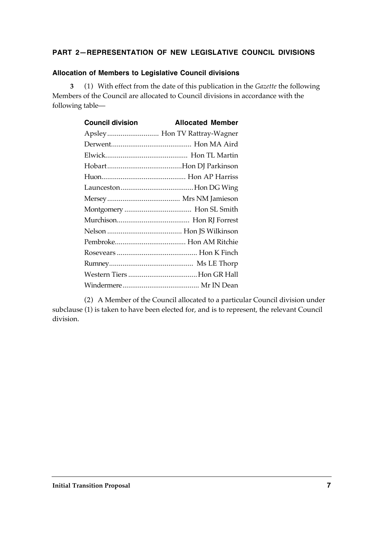# **PART 2—REPRESENTATION OF NEW LEGISLATIVE COUNCIL DIVISIONS**

### **Allocation of Members to Legislative Council divisions**

**3** (1) With effect from the date of this publication in the *Gazette* the following Members of the Council are allocated to Council divisions in accordance with the following table—

| <b>Council division</b> | <b>Allocated Member</b>      |
|-------------------------|------------------------------|
|                         | Apsley Hon TV Rattray-Wagner |
|                         |                              |
|                         |                              |
|                         |                              |
|                         |                              |
|                         |                              |
|                         |                              |
|                         |                              |
|                         |                              |
|                         |                              |
|                         |                              |
|                         |                              |
|                         |                              |
|                         |                              |
|                         |                              |

(2) A Member of the Council allocated to a particular Council division under subclause (1) is taken to have been elected for, and is to represent, the relevant Council division.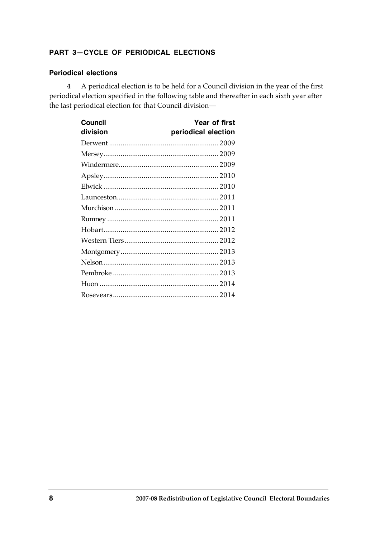# **PART 3—CYCLE OF PERIODICAL ELECTIONS**

### **Periodical elections**

**4** A periodical election is to be held for a Council division in the year of the first periodical election specified in the following table and thereafter in each sixth year after the last periodical election for that Council division—

| <b>Council</b> | Year of first       |
|----------------|---------------------|
| division       | periodical election |
|                |                     |
|                |                     |
|                |                     |
|                |                     |
|                |                     |
|                |                     |
|                |                     |
|                |                     |
|                |                     |
|                |                     |
|                |                     |
|                |                     |
|                |                     |
|                |                     |
|                |                     |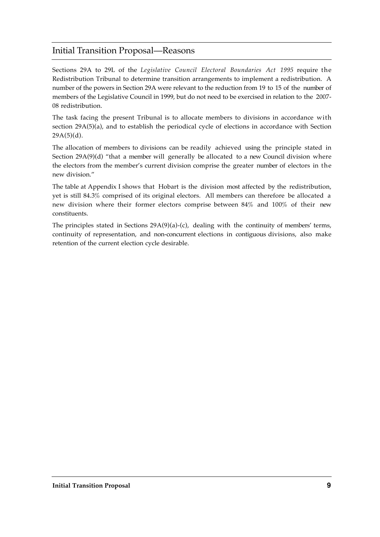# Initial Transition Proposal—Reasons

Sections 29A to 29L of the *Legislative Council Electoral Boundaries Act 1995* require the Redistribution Tribunal to determine transition arrangements to implement a redistribution. A number of the powers in Section 29A were relevant to the reduction from 19 to 15 of the number of members of the Legislative Council in 1999, but do not need to be exercised in relation to the 2007- 08 redistribution.

The task facing the present Tribunal is to allocate members to divisions in accordance with section 29A(5)(a), and to establish the periodical cycle of elections in accordance with Section  $29A(5)(d)$ .

The allocation of members to divisions can be readily achieved using the principle stated in Section 29A(9)(d) "that a member will generally be allocated to a new Council division where the electors from the member's current division comprise the greater number of electors in the new division."

The table at Appendix I shows that Hobart is the division most affected by the redistribution, yet is still 84.3% comprised of its original electors. All members can therefore be allocated a new division where their former electors comprise between 84% and 100% of their new constituents.

The principles stated in Sections 29A(9)(a)-(c), dealing with the continuity of members' terms, continuity of representation, and non-concurrent elections in contiguous divisions, also make retention of the current election cycle desirable.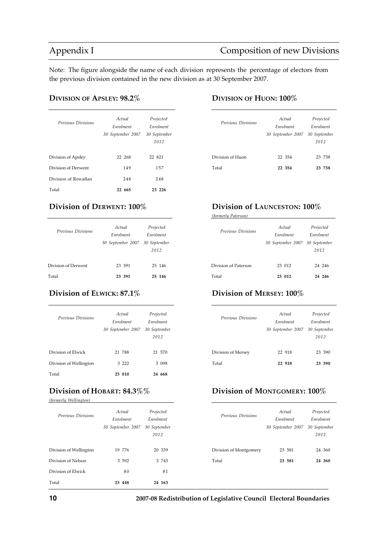# Appendix I Composition of new Divisions

Note: The figure alongside the name of each division represents the percentage of electors from the previous division contained in the new division as at 30 September 2007.

### **DIVISION OF APSLEY: 98.2% DIVISION OF HUON: 100%**

| Previous Divisions   | Actual<br>Enrolment<br>30 September 2007 | Projected<br>Enrolment<br>30 September<br>2012 | Previous Divisions | Actual<br>Enrolment<br>30 September 2007 | Projected<br>Enrolment<br>30 Septemb<br>2012 |
|----------------------|------------------------------------------|------------------------------------------------|--------------------|------------------------------------------|----------------------------------------------|
| Division of Apsley   | 22 268                                   | 22 821                                         | Division of Huon   | 22 354                                   | 23 738                                       |
| Division of Derwent  | 149                                      | 157                                            | Total              | 22 354                                   | 23 738                                       |
| Division of Rowallan | 248                                      | 248                                            |                    |                                          |                                              |
| Total                | 22 665                                   | 23 226                                         |                    |                                          |                                              |

| Previous Divisions  | Actual<br>Enrolment<br>30 September 2007 | Projected<br>Enrolment<br>30 September<br>2012 | Previous Divisions   | Actual<br>Enrolment<br>30 September 2007 | Projected<br>Enrolment<br>30 Septemb<br>2012 |
|---------------------|------------------------------------------|------------------------------------------------|----------------------|------------------------------------------|----------------------------------------------|
| Division of Derwent | 23 391                                   | 25 146                                         | Division of Paterson | 23 012                                   | 24 24 6                                      |
| Total               | 23 391                                   | 25 146                                         | Total                | 23 012                                   | 24 246                                       |
|                     |                                          |                                                |                      |                                          |                                              |

| Previous Divisions     | Actual<br>Enrolment<br>30 September 2007 | Projected<br>Enrolment<br>30 September<br>2012 | Previous Divisions | Actual<br>Enrolment<br>30 September 2007 | Projected<br>Enrolment<br>30 Septemb<br>2012 |
|------------------------|------------------------------------------|------------------------------------------------|--------------------|------------------------------------------|----------------------------------------------|
| Division of Elwick     | 21 788                                   | 21 570                                         | Division of Mersey | 22 918                                   | 23 390                                       |
| Division of Wellington | 3 2 2 2 2                                | 3 0 9 8                                        | Total              | 22 918                                   | 23 390                                       |
| Total                  | 25 010                                   | 24 668                                         |                    |                                          |                                              |

*(formerly Wellington)*

| Previous Divisions     | Actual<br>Enrolment<br>30 September 2007 | Projected<br>Enrolment<br>30 September<br>2012 | Previous Divisions     | Actual<br>Enrolment<br>30 September 2007 | Projected<br>Enrolment<br>30 Septemb<br>2012 |
|------------------------|------------------------------------------|------------------------------------------------|------------------------|------------------------------------------|----------------------------------------------|
| Division of Wellington | 19 776                                   | 20 339                                         | Division of Montgomery | 23 581                                   | 24 360                                       |
| Division of Nelson     | 3 5 9 2                                  | 3 7 4 3                                        | Total                  | 23 581                                   | 24 360                                       |
| Division of Elwick     | 80                                       | 81                                             |                        |                                          |                                              |
| Total                  | 23 448                                   | 24 163                                         |                        |                                          |                                              |

| Previous Divisions | Actual<br>Enrolment<br>30 September 2007 30 September | Projected<br>Enrolment<br>2012 |
|--------------------|-------------------------------------------------------|--------------------------------|
| Division of Huon   | 22 354                                                | 23 738                         |
| Total              | 22 354                                                | 23 738                         |

# **Division of DERWENT: 100% Division of LAUNCESTON: 100%**

*(formerly Paterson)*

| Previous Divisions   | Actual<br>Enrolment<br>30 September 2007 30 September | Projected<br>Enrolment<br>2012 |
|----------------------|-------------------------------------------------------|--------------------------------|
| Division of Paterson | 23 012                                                | 24 246                         |
| Total                | 23 012                                                | 24 246                         |

# **Division of ELWICK: 87.1% Division of MERSEY: 100%**

| Previous Divisions | Actual<br>Enrolment<br>30 September 2007 30 September | Projected<br>Enrolment<br>2012 |
|--------------------|-------------------------------------------------------|--------------------------------|
| Division of Mersey | 22 918                                                | 23 390                         |
| Total              | 22 918                                                | 23 390                         |

# **Division of HOBART: 84.3%% Division of MONTGOMERY: 100%**

| Previous Divisions     | Actual<br>Enrolment<br>30 September 2007 | Projected<br>Enrolment<br>30 September<br>2012 |
|------------------------|------------------------------------------|------------------------------------------------|
| Division of Montgomery | 23 581                                   | 24 360                                         |
| Total                  | 23 581                                   | 24 360                                         |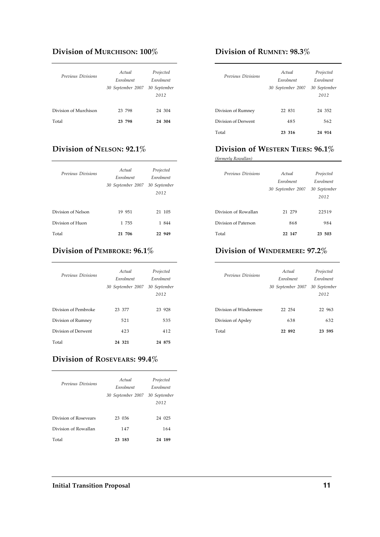# **Division of MURCHISON: 100% Division of RUMNEY: 98.3%**

| Previous Divisions    | Actual<br>Enrolment<br>30 September 2007 | Projected<br>Enrolment<br>30 September<br>2012 | Previous Divisions  | Actual<br>Enrolment<br>30 September 2007 | Projecte<br>Enrolmen<br>30 Septem<br>2012 |
|-----------------------|------------------------------------------|------------------------------------------------|---------------------|------------------------------------------|-------------------------------------------|
| Division of Murchison | 23 798                                   | 24 304                                         | Division of Rumney  | 22 831                                   | 24 352                                    |
| Total                 | 23 798                                   | 24 304                                         | Division of Derwent | 485                                      | 562                                       |

| Previous Divisions | Actual<br>Enrolment<br>30 September 2007 | Projected<br>Enrolment<br>30 September<br>2012 | Previous Divisions   | Actual<br>Enrolment<br>30 September 2007 | Projecte<br>Enrolmen<br>30 Septem<br>2012 |
|--------------------|------------------------------------------|------------------------------------------------|----------------------|------------------------------------------|-------------------------------------------|
| Division of Nelson | 19 951                                   | 21 105                                         | Division of Rowallan | 21 279                                   | 22519                                     |
| Division of Huon   | 1 755                                    | 1 844                                          | Division of Paterson | 868                                      | 984                                       |
| Total              | 21 706                                   | 22 949                                         | Total                | 22 147                                   | 23 503                                    |

 $\overline{\phantom{a}}$  . The contract of  $\overline{\phantom{a}}$  ,  $\overline{\phantom{a}}$  ,  $\overline{\phantom{a}}$  ,  $\overline{\phantom{a}}$  ,  $\overline{\phantom{a}}$  ,  $\overline{\phantom{a}}$  ,  $\overline{\phantom{a}}$  ,  $\overline{\phantom{a}}$  ,  $\overline{\phantom{a}}$  ,  $\overline{\phantom{a}}$  ,  $\overline{\phantom{a}}$  ,  $\overline{\phantom{a}}$  ,  $\overline{\phantom{a}}$  ,  $\overline{\phantom{a$ 

| Previous Divisions   | Actual<br>Enrolment<br>30 September 2007 | Projected<br>Enrolment<br>30 September<br>2012 | Previous Divisions     | Actual<br>Enrolment<br>30 September 2007 | Projected<br>Enrolment<br>30 Septemb<br>2012 |
|----------------------|------------------------------------------|------------------------------------------------|------------------------|------------------------------------------|----------------------------------------------|
| Division of Pembroke | 23 377                                   | 23 928                                         | Division of Windermere | 22 254                                   | 22 963                                       |
| Division of Rumney   | 521                                      | 535                                            | Division of Apsley     | 638                                      | 632                                          |
| Division of Derwent  | 423                                      | 412                                            | Total                  | 22 892                                   | 23 595                                       |
| Total                | 24 321                                   | 24 875                                         |                        |                                          |                                              |

### **Division of ROSEVEARS: 99.4%**

| Previous Divisions    | Actual<br>Enrolment<br>30 September 2007 30 September | Projected<br>Enrolment<br>2012 |
|-----------------------|-------------------------------------------------------|--------------------------------|
| Division of Rosevears | 23 036                                                | 24 025                         |
| Division of Rowallan  | 147                                                   | 164                            |
| Total                 | 23 183                                                | 24 189                         |

| Previous Divisions  | Actual<br>Enrolment<br>30 September 2007 | Projected<br>Enrolment<br>30 September<br>2012 |
|---------------------|------------------------------------------|------------------------------------------------|
| Division of Rumney  | 22 831                                   | 24 352                                         |
| Division of Derwent | 485                                      | 562                                            |
| Total               | 23 316                                   | 24 914                                         |

# **Division of NELSON: 92.1% Division of WESTERN TIERS: 96.1%**

*(formerly Rowallan)*

| Previous Divisions   | Actual<br>Enrolment<br>30 September 2007 | Projected<br>Enrolment<br>30 September<br>2012 |
|----------------------|------------------------------------------|------------------------------------------------|
| Division of Rowallan | 21 279                                   | 22519                                          |
| Division of Paterson | 868                                      | 984                                            |
| Total                | 22 147                                   | 23 503                                         |

# **Division of PEMBROKE: 96.1% Division of WINDERMERE: 97.2%**

| Previous Divisions     | Actual<br>Enrolment | Projected<br>Enrolment |
|------------------------|---------------------|------------------------|
|                        | 30 September 2007   | 30 September           |
|                        |                     | 2012                   |
|                        |                     |                        |
| Division of Windermere | 22 254              | 22 963                 |
| Division of Apsley     | 638                 | 632                    |
| Total                  | 22 892              | 23 595                 |